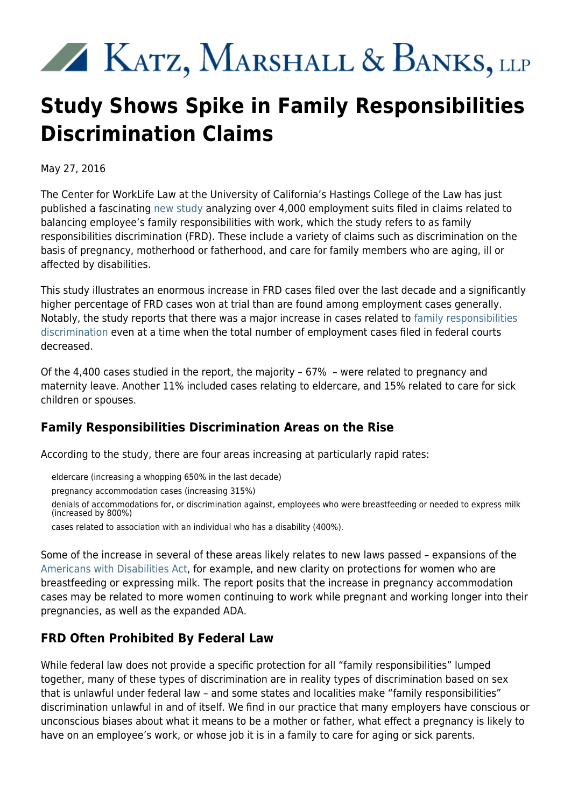# 

# **Study Shows Spike in Family Responsibilities Discrimination Claims**

May 27, 2016

The Center for WorkLife Law at the University of California's Hastings College of the Law has just published a fascinating [new study](http://www.worklifelaw.org/pubs/FRDupdate2016.pdf) analyzing over 4,000 employment suits filed in claims related to balancing employee's family responsibilities with work, which the study refers to as family responsibilities discrimination (FRD). These include a variety of claims such as discrimination on the basis of pregnancy, motherhood or fatherhood, and care for family members who are aging, ill or affected by disabilities.

This study illustrates an enormous increase in FRD cases filed over the last decade and a significantly higher percentage of FRD cases won at trial than are found among employment cases generally. Notably, the study reports that there was a major increase in cases related to [family responsibilities](http://www.kmblegal.com/practice-areas/discrimination-retaliation/family-responsibilities-discrimination) [discrimination](http://www.kmblegal.com/practice-areas/discrimination-retaliation/family-responsibilities-discrimination) even at a time when the total number of employment cases filed in federal courts decreased.

Of the 4,400 cases studied in the report, the majority – 67% – were related to pregnancy and maternity leave. Another 11% included cases relating to eldercare, and 15% related to care for sick children or spouses.

## **Family Responsibilities Discrimination Areas on the Rise**

According to the study, there are four areas increasing at particularly rapid rates:

eldercare (increasing a whopping 650% in the last decade)

pregnancy accommodation cases (increasing 315%)

denials of accommodations for, or discrimination against, employees who were breastfeeding or needed to express milk (increased by 800%)

cases related to association with an individual who has a disability (400%).

Some of the increase in several of these areas likely relates to new laws passed – expansions of the [Americans with Disabilities Act](http://www.ada.gov/2010_regs.htm), for example, and new clarity on protections for women who are breastfeeding or expressing milk. The report posits that the increase in pregnancy accommodation cases may be related to more women continuing to work while pregnant and working longer into their pregnancies, as well as the expanded ADA.

## **FRD Often Prohibited By Federal Law**

While federal law does not provide a specific protection for all "family responsibilities" lumped together, many of these types of discrimination are in reality types of discrimination based on sex that is unlawful under federal law – and some states and localities make "family responsibilities" discrimination unlawful in and of itself. We find in our practice that many employers have conscious or unconscious biases about what it means to be a mother or father, what effect a pregnancy is likely to have on an employee's work, or whose job it is in a family to care for aging or sick parents.